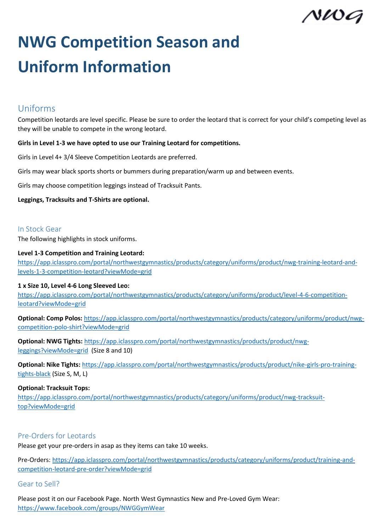

# **NWG Competition Season and Uniform Information**

# Uniforms

Competition leotards are level specific. Please be sure to order the leotard that is correct for your child's competing level as they will be unable to compete in the wrong leotard.

## **Girls in Level 1-3 we have opted to use our Training Leotard for competitions.**

Girls in Level 4+ 3/4 Sleeve Competition Leotards are preferred.

Girls may wear black sports shorts or bummers during preparation/warm up and between events.

Girls may choose competition leggings instead of Tracksuit Pants.

**Leggings, Tracksuits and T-Shirts are optional.** 

## In Stock Gear

The following highlights in stock uniforms.

#### **Level 1-3 Competition and Training Leotard:**

[https://app.iclasspro.com/portal/northwestgymnastics/products/category/uniforms/product/nwg-training-leotard-and](https://app.iclasspro.com/portal/northwestgymnastics/products/category/uniforms/product/nwg-training-leotard-and-levels-1-3-competition-leotard?viewMode=grid)[levels-1-3-competition-leotard?viewMode=grid](https://app.iclasspro.com/portal/northwestgymnastics/products/category/uniforms/product/nwg-training-leotard-and-levels-1-3-competition-leotard?viewMode=grid)

#### **1 x Size 10, Level 4-6 Long Sleeved Leo:**

[https://app.iclasspro.com/portal/northwestgymnastics/products/category/uniforms/product/level-4-6-competition](https://app.iclasspro.com/portal/northwestgymnastics/products/category/uniforms/product/level-4-6-competition-leotard?viewMode=grid)[leotard?viewMode=grid](https://app.iclasspro.com/portal/northwestgymnastics/products/category/uniforms/product/level-4-6-competition-leotard?viewMode=grid)

**Optional: Comp Polos:** [https://app.iclasspro.com/portal/northwestgymnastics/products/category/uniforms/product/nwg](https://app.iclasspro.com/portal/northwestgymnastics/products/category/uniforms/product/nwg-competition-polo-shirt?viewMode=grid)[competition-polo-shirt?viewMode=grid](https://app.iclasspro.com/portal/northwestgymnastics/products/category/uniforms/product/nwg-competition-polo-shirt?viewMode=grid)

**Optional: NWG Tights:** [https://app.iclasspro.com/portal/northwestgymnastics/products/product/nwg](https://app.iclasspro.com/portal/northwestgymnastics/products/product/nwg-leggings?viewMode=grid)[leggings?viewMode=grid](https://app.iclasspro.com/portal/northwestgymnastics/products/product/nwg-leggings?viewMode=grid) (Size 8 and 10)

**Optional: Nike Tights:** [https://app.iclasspro.com/portal/northwestgymnastics/products/product/nike-girls-pro-training](https://app.iclasspro.com/portal/northwestgymnastics/products/product/nike-girls-pro-training-tights-black)[tights-black](https://app.iclasspro.com/portal/northwestgymnastics/products/product/nike-girls-pro-training-tights-black) (Size S, M, L)

#### **Optional: Tracksuit Tops:**

[https://app.iclasspro.com/portal/northwestgymnastics/products/category/uniforms/product/nwg-tracksuit](https://app.iclasspro.com/portal/northwestgymnastics/products/category/uniforms/product/nwg-tracksuit-top?viewMode=grid)[top?viewMode=grid](https://app.iclasspro.com/portal/northwestgymnastics/products/category/uniforms/product/nwg-tracksuit-top?viewMode=grid)

# Pre-Orders for Leotards

Please get your pre-orders in asap as they items can take 10 weeks.

Pre-Orders[: https://app.iclasspro.com/portal/northwestgymnastics/products/category/uniforms/product/training-and](https://app.iclasspro.com/portal/northwestgymnastics/products/category/uniforms/product/training-and-competition-leotard-pre-order?viewMode=grid)[competition-leotard-pre-order?viewMode=grid](https://app.iclasspro.com/portal/northwestgymnastics/products/category/uniforms/product/training-and-competition-leotard-pre-order?viewMode=grid)

# Gear to Sell?

Please post it on our Facebook Page. North West Gymnastics New and Pre-Loved Gym Wear: <https://www.facebook.com/groups/NWGGymWear>